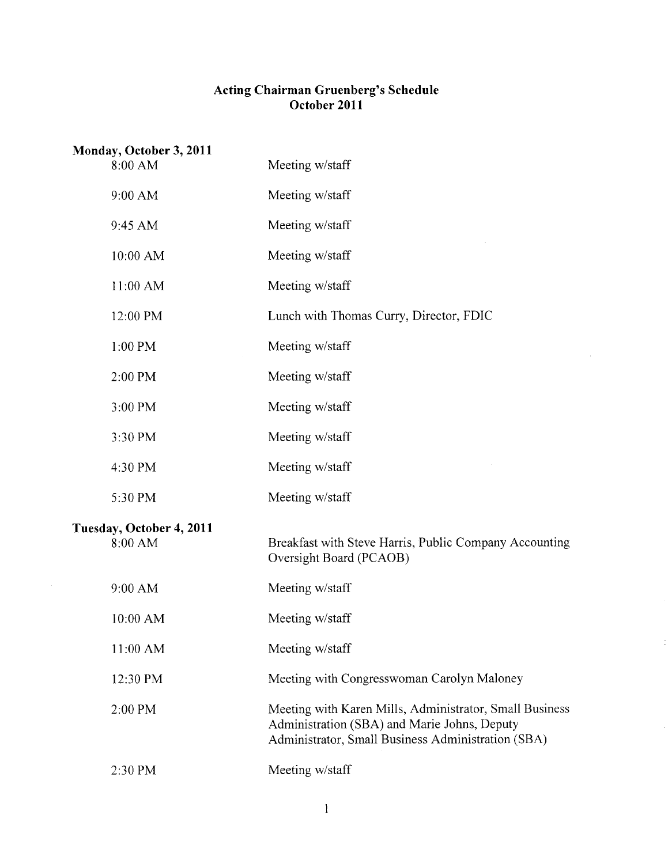# **Acting Chairman Gruenberg's Schedule October 2011**

| Monday, October 3, 2011             |                                                                                                                                                               |
|-------------------------------------|---------------------------------------------------------------------------------------------------------------------------------------------------------------|
| 8:00 AM                             | Meeting w/staff                                                                                                                                               |
| 9:00 AM                             | Meeting w/staff                                                                                                                                               |
| 9:45 AM                             | Meeting w/staff                                                                                                                                               |
| 10:00 AM                            | Meeting w/staff                                                                                                                                               |
| 11:00 AM                            | Meeting w/staff                                                                                                                                               |
| 12:00 PM                            | Lunch with Thomas Curry, Director, FDIC                                                                                                                       |
| 1:00 PM                             | Meeting w/staff                                                                                                                                               |
| 2:00 PM                             | Meeting w/staff                                                                                                                                               |
| 3:00 PM                             | Meeting w/staff                                                                                                                                               |
| 3:30 PM                             | Meeting w/staff                                                                                                                                               |
| 4:30 PM                             | Meeting w/staff                                                                                                                                               |
| 5:30 PM                             | Meeting w/staff                                                                                                                                               |
| Tuesday, October 4, 2011<br>8:00 AM | Breakfast with Steve Harris, Public Company Accounting<br>Oversight Board (PCAOB)                                                                             |
| 9:00 AM                             | Meeting w/staff                                                                                                                                               |
| 10:00 AM                            | Meeting w/staff                                                                                                                                               |
| 11:00 AM                            | Meeting w/staff                                                                                                                                               |
| 12:30 PM                            | Meeting with Congresswoman Carolyn Maloney                                                                                                                    |
| 2:00 PM                             | Meeting with Karen Mills, Administrator, Small Business<br>Administration (SBA) and Marie Johns, Deputy<br>Administrator, Small Business Administration (SBA) |
| 2:30 PM                             | Meeting w/staff                                                                                                                                               |

 $\ddot{\phantom{a}}$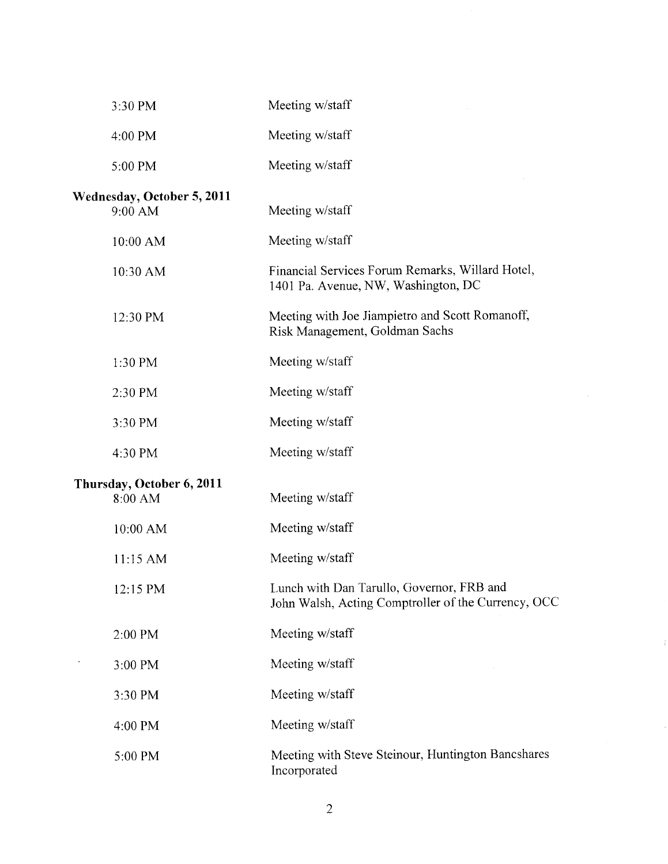| 3:30 PM                                      | Meeting w/staff                                                                                  |
|----------------------------------------------|--------------------------------------------------------------------------------------------------|
| 4:00 PM                                      | Meeting w/staff                                                                                  |
| 5:00 PM                                      | Meeting w/staff                                                                                  |
| <b>Wednesday, October 5, 2011</b><br>9:00 AM | Meeting w/staff                                                                                  |
| 10:00 AM                                     | Meeting w/staff                                                                                  |
| 10:30 AM                                     | Financial Services Forum Remarks, Willard Hotel,<br>1401 Pa. Avenue, NW, Washington, DC          |
| 12:30 PM                                     | Meeting with Joe Jiampietro and Scott Romanoff,<br>Risk Management, Goldman Sachs                |
| 1:30 PM                                      | Meeting w/staff                                                                                  |
| 2:30 PM                                      | Meeting w/staff                                                                                  |
| 3:30 PM                                      | Meeting w/staff                                                                                  |
| 4:30 PM                                      | Meeting w/staff                                                                                  |
| Thursday, October 6, 2011<br>8:00 AM         | Meeting w/staff                                                                                  |
| 10:00 AM                                     | Meeting w/staff                                                                                  |
| 11:15 AM                                     | Meeting w/staff                                                                                  |
| 12:15 PM                                     | Lunch with Dan Tarullo, Governor, FRB and<br>John Walsh, Acting Comptroller of the Currency, OCC |
| 2:00 PM                                      | Meeting w/staff                                                                                  |
| 3:00 PM                                      | Meeting w/staff                                                                                  |
| 3:30 PM                                      | Meeting w/staff                                                                                  |
| 4:00 PM                                      | Meeting w/staff                                                                                  |
| 5:00 PM                                      | Meeting with Steve Steinour, Huntington Bancshares<br>Incorporated                               |

 $\mathbf{r}$ 

 $\bar{\gamma}$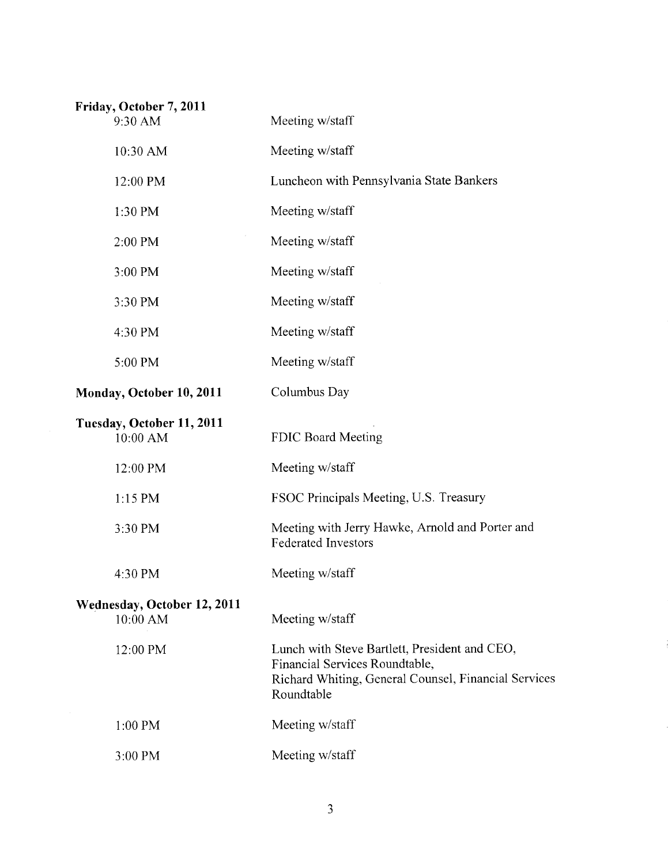| Friday, October 7, 2011<br>9:30 AM      | Meeting w/staff                                                                                                                                       |
|-----------------------------------------|-------------------------------------------------------------------------------------------------------------------------------------------------------|
| 10:30 AM                                | Meeting w/staff                                                                                                                                       |
| 12:00 PM                                | Luncheon with Pennsylvania State Bankers                                                                                                              |
| 1:30 PM                                 | Meeting w/staff                                                                                                                                       |
| 2:00 PM                                 | Meeting w/staff                                                                                                                                       |
| 3:00 PM                                 | Meeting w/staff                                                                                                                                       |
| 3:30 PM                                 | Meeting w/staff                                                                                                                                       |
| 4:30 PM                                 | Meeting w/staff                                                                                                                                       |
| 5:00 PM                                 | Meeting w/staff                                                                                                                                       |
| Monday, October 10, 2011                | Columbus Day                                                                                                                                          |
| Tuesday, October 11, 2011<br>10:00 AM   | FDIC Board Meeting                                                                                                                                    |
| 12:00 PM                                | Meeting w/staff                                                                                                                                       |
| 1:15 PM                                 | FSOC Principals Meeting, U.S. Treasury                                                                                                                |
| 3:30 PM                                 | Meeting with Jerry Hawke, Arnold and Porter and<br><b>Federated Investors</b>                                                                         |
| 4:30 PM                                 | Meeting w/staff                                                                                                                                       |
| Wednesday, October 12, 2011<br>10:00 AM | Meeting w/staff                                                                                                                                       |
| 12:00 PM                                | Lunch with Steve Bartlett, President and CEO,<br>Financial Services Roundtable,<br>Richard Whiting, General Counsel, Financial Services<br>Roundtable |
| $1:00$ PM                               | Meeting w/staff                                                                                                                                       |
| 3:00 PM                                 | Meeting w/staff                                                                                                                                       |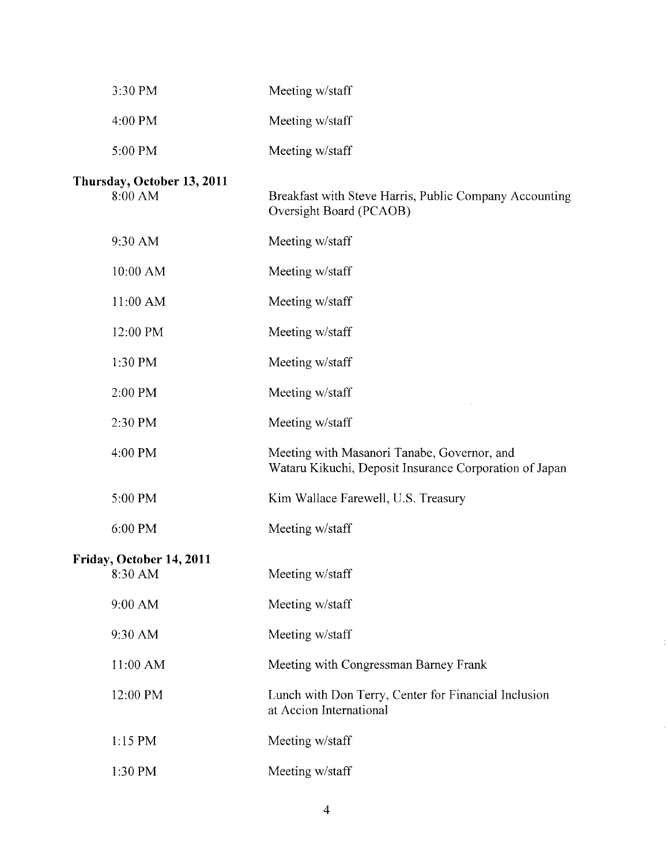| 3:30 PM                               | Meeting w/staff                                                                                       |
|---------------------------------------|-------------------------------------------------------------------------------------------------------|
| 4:00 PM                               | Meeting w/staff                                                                                       |
| 5:00 PM                               | Meeting w/staff                                                                                       |
| Thursday, October 13, 2011<br>8:00 AM | Breakfast with Steve Harris, Public Company Accounting<br>Oversight Board (PCAOB)                     |
| 9:30 AM                               | Meeting w/staff                                                                                       |
| 10:00 AM                              | Meeting w/staff                                                                                       |
| 11:00 AM                              | Meeting w/staff                                                                                       |
| 12:00 PM                              | Meeting w/staff                                                                                       |
| 1:30 PM                               | Meeting w/staff                                                                                       |
| 2:00 PM                               | Meeting w/staff                                                                                       |
| 2:30 PM                               | Meeting w/staff                                                                                       |
| 4:00 PM                               | Meeting with Masanori Tanabe, Governor, and<br>Wataru Kikuchi, Deposit Insurance Corporation of Japan |
| 5:00 PM                               | Kim Wallace Farewell, U.S. Treasury                                                                   |
| 6:00 PM                               | Meeting w/staff                                                                                       |
| Friday, October 14, 2011<br>8:30 AM   | Meeting w/staff                                                                                       |
| 9:00 AM                               | Meeting w/staff                                                                                       |
| 9:30 AM                               | Meeting w/staff                                                                                       |
| 11:00 AM                              | Meeting with Congressman Barney Frank                                                                 |
| 12:00 PM                              | Lunch with Don Terry, Center for Financial Inclusion<br>at Accion International                       |
| 1:15 PM                               | Meeting w/staff                                                                                       |
| 1:30 PM                               | Meeting w/staff                                                                                       |

 $\ddot{\mathrm{i}}$ 

 $\bar{\gamma}$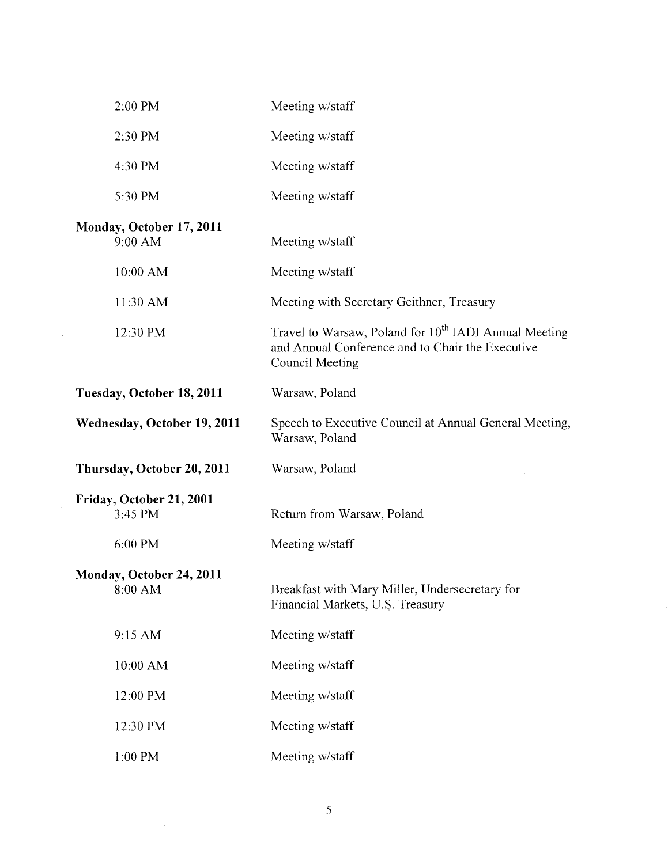| 2:00 PM                             | Meeting w/staff                                                                                                                                 |
|-------------------------------------|-------------------------------------------------------------------------------------------------------------------------------------------------|
| 2:30 PM                             | Meeting w/staff                                                                                                                                 |
| 4:30 PM                             | Meeting w/staff                                                                                                                                 |
| 5:30 PM                             | Meeting w/staff                                                                                                                                 |
| Monday, October 17, 2011<br>9:00 AM | Meeting w/staff                                                                                                                                 |
| 10:00 AM                            | Meeting w/staff                                                                                                                                 |
| 11:30 AM                            | Meeting with Secretary Geithner, Treasury                                                                                                       |
| 12:30 PM                            | Travel to Warsaw, Poland for 10 <sup>th</sup> IADI Annual Meeting<br>and Annual Conference and to Chair the Executive<br><b>Council Meeting</b> |
| Tuesday, October 18, 2011           | Warsaw, Poland                                                                                                                                  |
| <b>Wednesday, October 19, 2011</b>  | Speech to Executive Council at Annual General Meeting,<br>Warsaw, Poland                                                                        |
| Thursday, October 20, 2011          | Warsaw, Poland                                                                                                                                  |
| Friday, October 21, 2001<br>3:45 PM | Return from Warsaw, Poland                                                                                                                      |
| 6:00 PM                             | Meeting w/staff                                                                                                                                 |
| Monday, October 24, 2011<br>8:00 AM | Breakfast with Mary Miller, Undersecretary for<br>Financial Markets, U.S. Treasury                                                              |
| 9:15 AM                             | Meeting w/staff                                                                                                                                 |
| 10:00 AM                            | Meeting w/staff                                                                                                                                 |
| 12:00 PM                            | Meeting w/staff                                                                                                                                 |
| 12:30 PM                            | Meeting w/staff                                                                                                                                 |
| $1:00 \; \mathrm{PM}$               | Meeting w/staff                                                                                                                                 |

 $\label{eq:2.1} \frac{1}{\sqrt{2}}\int_{0}^{\infty}\frac{1}{\sqrt{2\pi}}\left(\frac{1}{\sqrt{2\pi}}\right)^{2}d\mu_{\rm{max}}\left(\frac{1}{\sqrt{2\pi}}\right).$ 

J.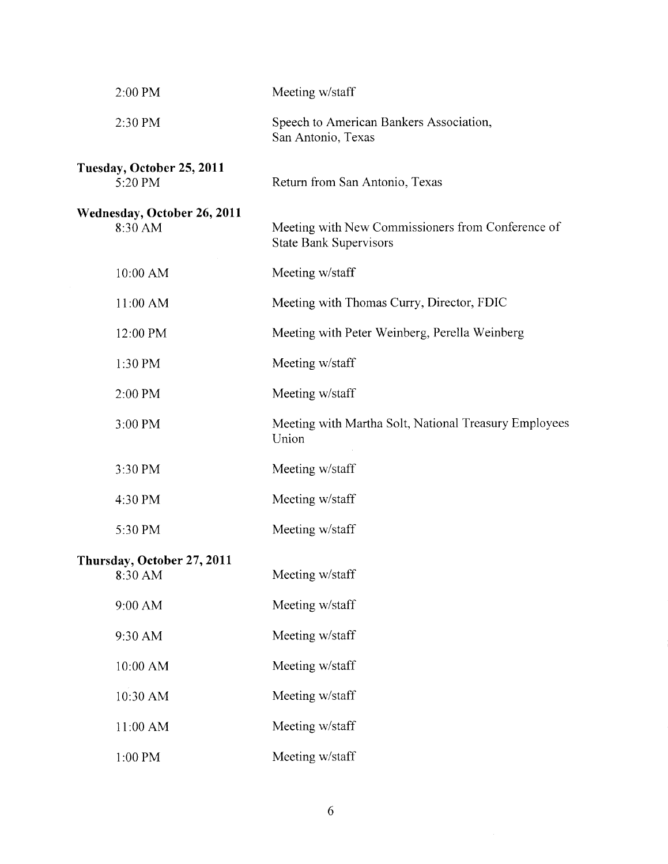| 2:00 PM                                       | Meeting w/staff                                                                    |
|-----------------------------------------------|------------------------------------------------------------------------------------|
| 2:30 PM                                       | Speech to American Bankers Association,<br>San Antonio, Texas                      |
| Tuesday, October 25, 2011<br>5:20 PM          | Return from San Antonio, Texas                                                     |
| <b>Wednesday, October 26, 2011</b><br>8:30 AM | Meeting with New Commissioners from Conference of<br><b>State Bank Supervisors</b> |
| 10:00 AM                                      | Meeting w/staff                                                                    |
| 11:00 AM                                      | Meeting with Thomas Curry, Director, FDIC                                          |
| 12:00 PM                                      | Meeting with Peter Weinberg, Perella Weinberg                                      |
| 1:30 PM                                       | Meeting w/staff                                                                    |
| 2:00 PM                                       | Meeting w/staff                                                                    |
| 3:00 PM                                       | Meeting with Martha Solt, National Treasury Employees<br>Union                     |
| 3:30 PM                                       | Meeting w/staff                                                                    |
| 4:30 PM                                       | Meeting w/staff                                                                    |
| 5:30 PM                                       | Meeting w/staff                                                                    |
| Thursday, October 27, 2011<br>8:30 AM         | Meeting w/staff                                                                    |
| 9:00 AM                                       | Meeting w/staff                                                                    |
| 9:30 AM                                       | Meeting w/staff                                                                    |
| 10:00 AM                                      | Meeting w/staff                                                                    |
| 10:30 AM                                      | Meeting w/staff                                                                    |
| 11:00 AM                                      | Meeting w/staff                                                                    |
| 1:00 PM                                       | Meeting w/staff                                                                    |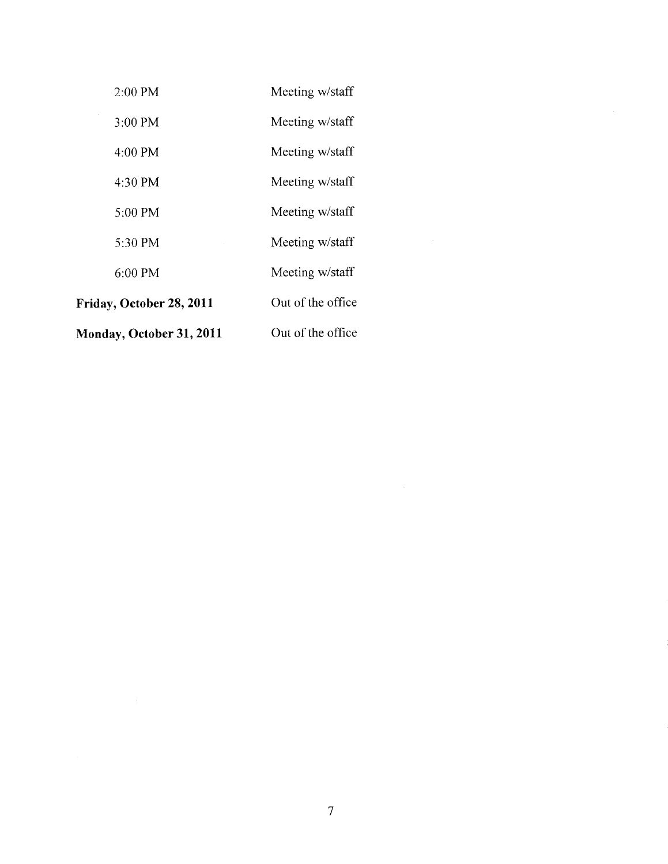| Monday, October 31, 2011 | Out of the office |
|--------------------------|-------------------|
| Friday, October 28, 2011 | Out of the office |
| $6:00$ PM                | Meeting w/staff   |
| 5:30 PM                  | Meeting w/staff   |
| 5:00 PM                  | Meeting w/staff   |
| 4:30 PM                  | Meeting w/staff   |
| $4:00$ PM                | Meeting w/staff   |
| 3:00 PM                  | Meeting w/staff   |
| 2:00 PM                  | Meeting w/staff   |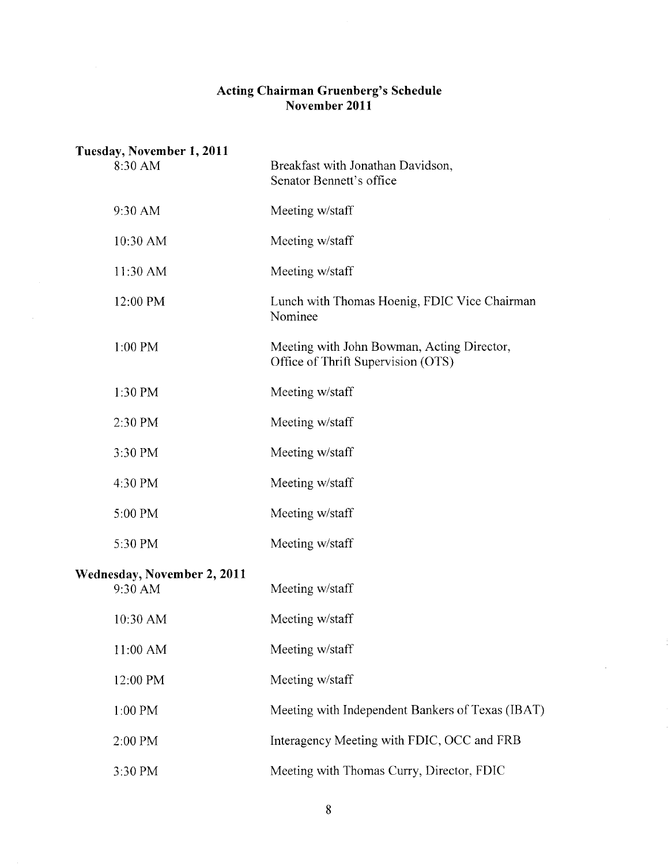## **Acting Chairman Gruenberg's Schedule November 2011**

| Tuesday, November 1, 2011              |                                                                                  |
|----------------------------------------|----------------------------------------------------------------------------------|
| 8:30 AM                                | Breakfast with Jonathan Davidson,<br>Senator Bennett's office                    |
| 9:30 AM                                | Meeting w/staff                                                                  |
| 10:30 AM                               | Meeting w/staff                                                                  |
| 11:30 AM                               | Meeting w/staff                                                                  |
| 12:00 PM                               | Lunch with Thomas Hoenig, FDIC Vice Chairman<br>Nominee                          |
| 1:00 PM                                | Meeting with John Bowman, Acting Director,<br>Office of Thrift Supervision (OTS) |
| 1:30 PM                                | Meeting w/staff                                                                  |
| 2:30 PM                                | Meeting w/staff                                                                  |
| 3:30 PM                                | Meeting w/staff                                                                  |
| 4:30 PM                                | Meeting w/staff                                                                  |
| 5:00 PM                                | Meeting w/staff                                                                  |
| 5:30 PM                                | Meeting w/staff                                                                  |
| Wednesday, November 2, 2011<br>9:30 AM | Meeting w/staff                                                                  |
| 10:30 AM                               | Meeting w/staff                                                                  |
| 11:00 AM                               | Meeting w/staff                                                                  |
| 12:00 PM                               | Meeting w/staff                                                                  |
| 1:00 PM                                | Meeting with Independent Bankers of Texas (IBAT)                                 |
| 2:00 PM                                | Interagency Meeting with FDIC, OCC and FRB                                       |
| 3:30 PM                                | Meeting with Thomas Curry, Director, FDIC                                        |

 $\mathcal{A}^{\mathcal{A}}$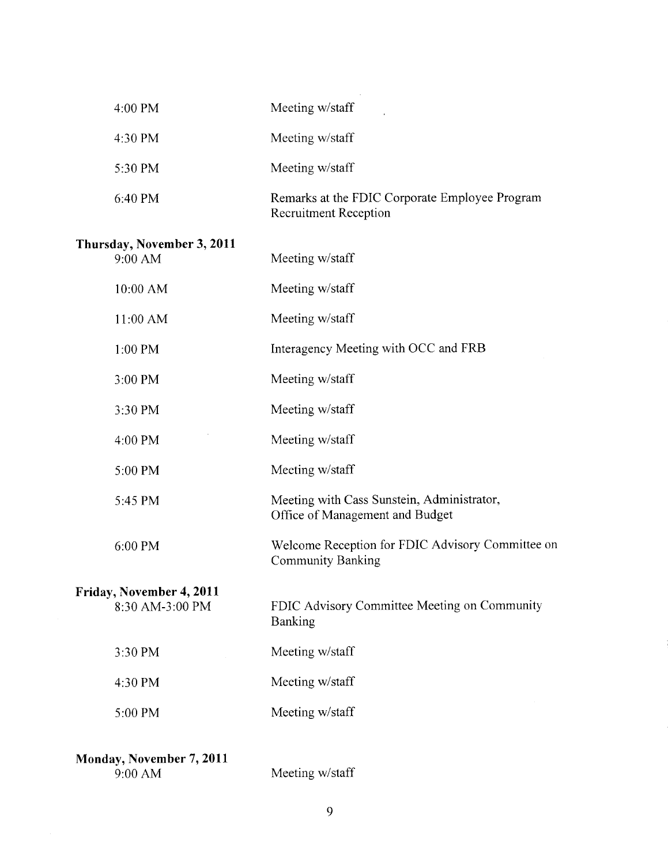| 4:00 PM                                     | Meeting w/staff                                                               |
|---------------------------------------------|-------------------------------------------------------------------------------|
| 4:30 PM                                     | Meeting w/staff                                                               |
| 5:30 PM                                     | Meeting w/staff                                                               |
| 6:40 PM                                     | Remarks at the FDIC Corporate Employee Program<br>Recruitment Reception       |
| Thursday, November 3, 2011<br>9:00 AM       | Meeting w/staff                                                               |
| 10:00 AM                                    | Meeting w/staff                                                               |
| 11:00 AM                                    | Meeting w/staff                                                               |
| 1:00 PM                                     | Interagency Meeting with OCC and FRB                                          |
| 3:00 PM                                     | Meeting w/staff                                                               |
| 3:30 PM                                     | Meeting w/staff                                                               |
| 4:00 PM                                     | Meeting w/staff                                                               |
| 5:00 PM                                     | Meeting w/staff                                                               |
| 5:45 PM                                     | Meeting with Cass Sunstein, Administrator,<br>Office of Management and Budget |
| 6:00 PM                                     | Welcome Reception for FDIC Advisory Committee on<br><b>Community Banking</b>  |
| Friday, November 4, 2011<br>8:30 AM-3:00 PM | FDIC Advisory Committee Meeting on Community<br>Banking                       |
| 3:30 PM                                     | Meeting w/staff                                                               |
| 4:30 PM                                     | Meeting w/staff                                                               |
| 5:00 PM                                     | Meeting w/staff                                                               |
| Monday, November 7, 2011<br>9:00 AM         | Meeting w/staff                                                               |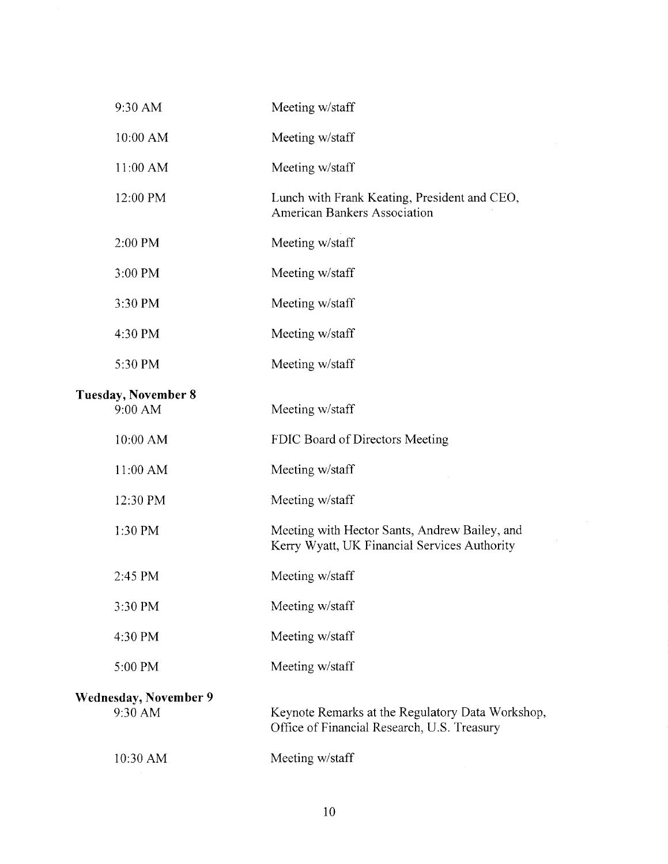| 9:30 AM                               | Meeting w/staff                                                                                 |
|---------------------------------------|-------------------------------------------------------------------------------------------------|
| 10:00 AM                              | Meeting w/staff                                                                                 |
| 11:00 AM                              | Meeting w/staff                                                                                 |
| 12:00 PM                              | Lunch with Frank Keating, President and CEO,<br>American Bankers Association                    |
| 2:00 PM                               | Meeting w/staff                                                                                 |
| 3:00 PM                               | Meeting w/staff                                                                                 |
| 3:30 PM                               | Meeting w/staff                                                                                 |
| 4:30 PM                               | Meeting w/staff                                                                                 |
| 5:30 PM                               | Meeting w/staff                                                                                 |
| <b>Tuesday, November 8</b><br>9:00 AM | Meeting w/staff                                                                                 |
| 10:00 AM                              | FDIC Board of Directors Meeting                                                                 |
| 11:00 AM                              | Meeting w/staff                                                                                 |
| 12:30 PM                              | Meeting w/staff                                                                                 |
| 1:30 PM                               | Meeting with Hector Sants, Andrew Bailey, and<br>Kerry Wyatt, UK Financial Services Authority   |
| 2:45 PM                               | Meeting w/staff                                                                                 |
| 3:30 PM                               | Meeting w/staff                                                                                 |
| 4:30 PM                               | Meeting w/staff                                                                                 |
| 5:00 PM                               | Meeting w/staff                                                                                 |
| Wednesday, November 9<br>9:30 AM      | Keynote Remarks at the Regulatory Data Workshop,<br>Office of Financial Research, U.S. Treasury |
| 10:30 AM                              | Meeting w/staff                                                                                 |
|                                       |                                                                                                 |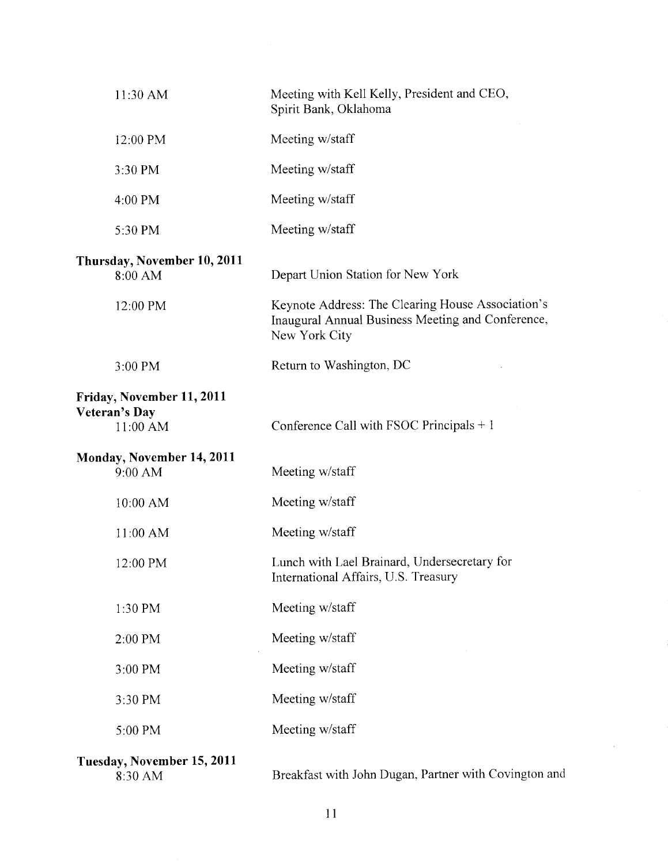| 11:30 AM                                                      | Meeting with Kell Kelly, President and CEO,<br>Spirit Bank, Oklahoma                                                    |
|---------------------------------------------------------------|-------------------------------------------------------------------------------------------------------------------------|
| 12:00 PM                                                      | Meeting w/staff                                                                                                         |
| 3:30 PM                                                       | Meeting w/staff                                                                                                         |
| 4:00 PM                                                       | Meeting w/staff                                                                                                         |
| 5:30 PM                                                       | Meeting w/staff                                                                                                         |
| Thursday, November 10, 2011<br>8:00 AM                        | Depart Union Station for New York                                                                                       |
| 12:00 PM                                                      | Keynote Address: The Clearing House Association's<br>Inaugural Annual Business Meeting and Conference,<br>New York City |
| 3:00 PM                                                       | Return to Washington, DC                                                                                                |
| Friday, November 11, 2011<br><b>Veteran's Day</b><br>11:00 AM | Conference Call with FSOC Principals $+1$                                                                               |
| Monday, November 14, 2011<br>9:00 AM                          | Meeting w/staff                                                                                                         |
| 10:00 AM                                                      | Meeting w/staff                                                                                                         |
| 11:00 AM                                                      | Meeting w/staff                                                                                                         |
| 12:00 PM                                                      | Lunch with Lael Brainard, Undersecretary for<br>International Affairs, U.S. Treasury                                    |
| 1:30 PM                                                       | Meeting w/staff                                                                                                         |
| 2:00 PM                                                       | Meeting w/staff                                                                                                         |
| 3:00 PM                                                       | Meeting w/staff                                                                                                         |
| 3:30 PM                                                       | Meeting w/staff                                                                                                         |
| 5:00 PM                                                       | Meeting w/staff                                                                                                         |
| Tuesday, November 15, 2011                                    |                                                                                                                         |

**Tuesday, November 15,**<br>8:30 AM

Breakfast with John Dugan, Partner with Covington and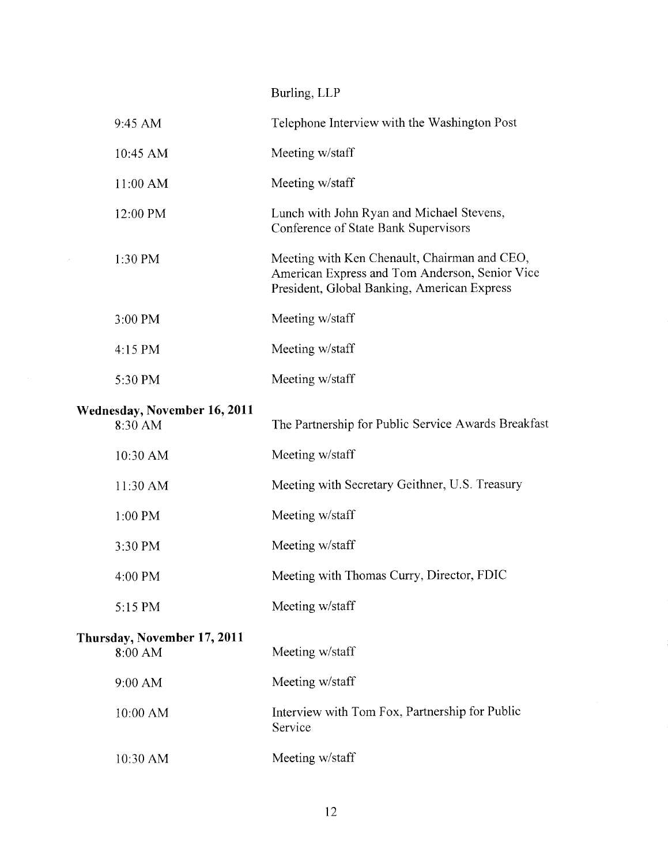Burling, LLP

 $\frac{1}{2}$ 

| 9:45 AM                                        | Telephone Interview with the Washington Post                                                                                                  |
|------------------------------------------------|-----------------------------------------------------------------------------------------------------------------------------------------------|
| 10:45 AM                                       | Meeting w/staff                                                                                                                               |
| 11:00 AM                                       | Meeting w/staff                                                                                                                               |
| 12:00 PM                                       | Lunch with John Ryan and Michael Stevens,<br>Conference of State Bank Supervisors                                                             |
| 1:30 PM                                        | Meeting with Ken Chenault, Chairman and CEO,<br>American Express and Tom Anderson, Senior Vice<br>President, Global Banking, American Express |
| 3:00 PM                                        | Meeting w/staff                                                                                                                               |
| 4:15 PM                                        | Meeting w/staff                                                                                                                               |
| 5:30 PM                                        | Meeting w/staff                                                                                                                               |
| <b>Wednesday, November 16, 2011</b><br>8:30 AM | The Partnership for Public Service Awards Breakfast                                                                                           |
| 10:30 AM                                       | Meeting w/staff                                                                                                                               |
| 11:30 AM                                       | Meeting with Secretary Geithner, U.S. Treasury                                                                                                |
| 1:00 PM                                        | Meeting w/staff                                                                                                                               |
| 3:30 PM                                        | Meeting w/staff                                                                                                                               |
| 4:00 PM                                        | Meeting with Thomas Curry, Director, FDIC                                                                                                     |
| 5:15 PM                                        | Meeting w/staff                                                                                                                               |
| Thursday, November 17, 2011<br>8:00 AM         | Meeting w/staff                                                                                                                               |
| 9:00 AM                                        | Meeting w/staff                                                                                                                               |
| 10:00 AM                                       | Interview with Tom Fox, Partnership for Public<br>Service                                                                                     |
| 10:30 AM                                       | Meeting w/staff                                                                                                                               |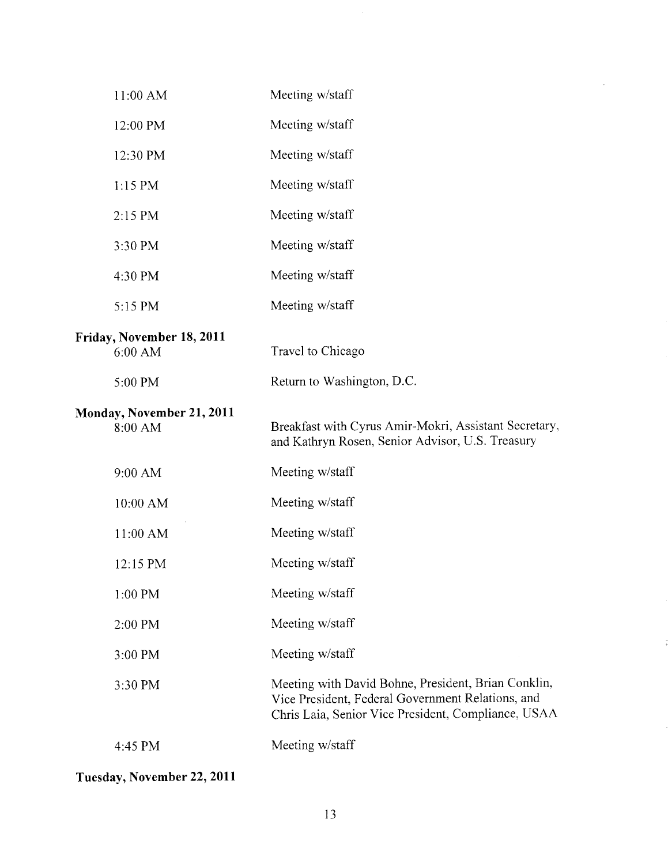| 11:00 AM                             | Meeting w/staff                                                                                                                                                 |
|--------------------------------------|-----------------------------------------------------------------------------------------------------------------------------------------------------------------|
| 12:00 PM                             | Meeting w/staff                                                                                                                                                 |
| 12:30 PM                             | Meeting w/staff                                                                                                                                                 |
| $1:15$ PM                            | Meeting w/staff                                                                                                                                                 |
| 2:15 PM                              | Meeting w/staff                                                                                                                                                 |
| 3:30 PM                              | Meeting w/staff                                                                                                                                                 |
| 4:30 PM                              | Meeting w/staff                                                                                                                                                 |
| 5:15 PM                              | Meeting w/staff                                                                                                                                                 |
| Friday, November 18, 2011<br>6:00 AM | Travel to Chicago                                                                                                                                               |
| 5:00 PM                              | Return to Washington, D.C.                                                                                                                                      |
| Monday, November 21, 2011<br>8:00 AM | Breakfast with Cyrus Amir-Mokri, Assistant Secretary,<br>and Kathryn Rosen, Senior Advisor, U.S. Treasury                                                       |
| 9:00 AM                              | Meeting w/staff                                                                                                                                                 |
| 10:00 AM                             | Meeting w/staff                                                                                                                                                 |
| 11:00 AM                             | Meeting w/staff                                                                                                                                                 |
| 12:15 PM                             | Meeting w/staff                                                                                                                                                 |
| $1:00$ PM                            | Meeting w/staff                                                                                                                                                 |
| 2:00 PM                              | Meeting w/staff                                                                                                                                                 |
| 3:00 PM                              | Meeting w/staff                                                                                                                                                 |
| 3:30 PM                              | Meeting with David Bohne, President, Brian Conklin,<br>Vice President, Federal Government Relations, and<br>Chris Laia, Senior Vice President, Compliance, USAA |
| 4:45 PM                              | Meeting w/staff                                                                                                                                                 |
|                                      |                                                                                                                                                                 |

 $\hat{\mathcal{L}}$ 

 $\frac{1}{2}$ 

**Tuesday, November 22, 2011**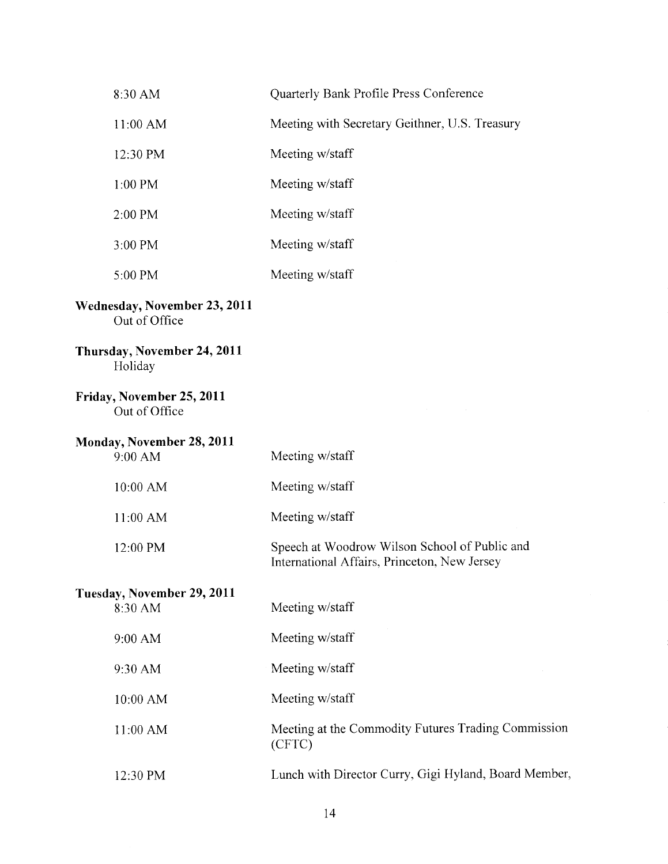| 8:30 AM                                       | Quarterly Bank Profile Press Conference                                                       |
|-----------------------------------------------|-----------------------------------------------------------------------------------------------|
| 11:00 AM                                      | Meeting with Secretary Geithner, U.S. Treasury                                                |
| 12:30 PM                                      | Meeting w/staff                                                                               |
| 1:00 PM                                       | Meeting w/staff                                                                               |
| 2:00 PM                                       | Meeting w/staff                                                                               |
| 3:00 PM                                       | Meeting w/staff                                                                               |
| 5:00 PM                                       | Meeting w/staff                                                                               |
| Wednesday, November 23, 2011<br>Out of Office |                                                                                               |
| Thursday, November 24, 2011<br>Holiday        |                                                                                               |
| Friday, November 25, 2011<br>Out of Office    |                                                                                               |
| <b>Monday, November 28, 2011</b><br>9:00 AM   | Meeting w/staff                                                                               |
| 10:00 AM                                      | Meeting w/staff                                                                               |
| 11:00 AM                                      | Meeting w/staff                                                                               |
| 12:00 PM                                      | Speech at Woodrow Wilson School of Public and<br>International Affairs, Princeton, New Jersey |
| Tuesday, November 29, 2011<br>8:30 AM         | Meeting w/staff                                                                               |
| 9:00 AM                                       | Meeting w/staff                                                                               |
| 9:30 AM                                       | Meeting w/staff                                                                               |
| 10:00 AM                                      | Meeting w/staff                                                                               |
| 11:00 AM                                      | Meeting at the Commodity Futures Trading Commission<br>(CFTC)                                 |
| 12:30 PM                                      | Lunch with Director Curry, Gigi Hyland, Board Member,                                         |

14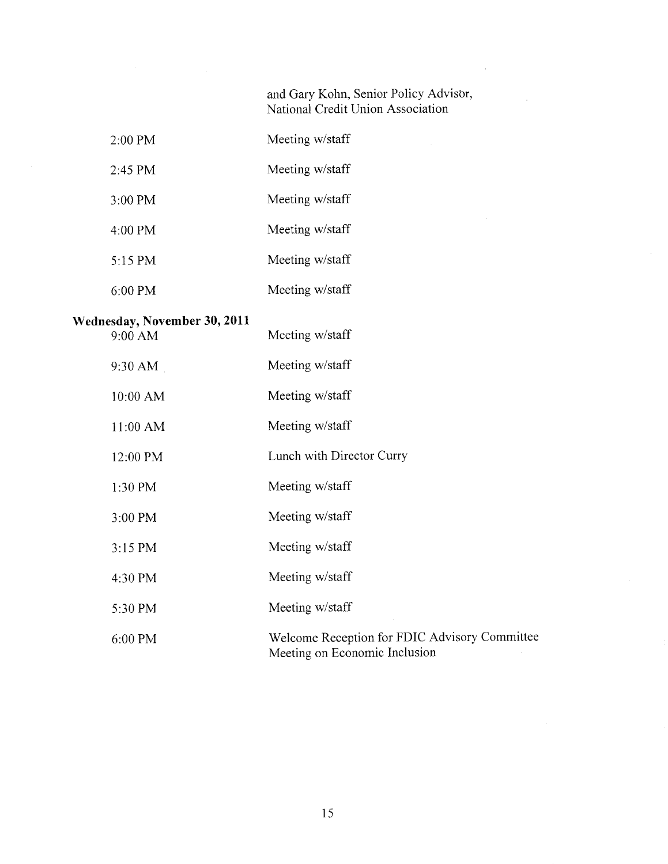and Gary Kohn, Senior Policy Advisor, National Credit Union Association

- 2:00 PM Meeting w/staff
- *2:45* PM Meeting w/staff
- 3:00 PM Meeting w/staff
- 4:00 PM Meeting w/staff
- *5:15* PM Meeting w/staff
- 6:00 PM Meeting w/staff

### **Wednesday, November 30, 2011**

| 9:00 AM  | Meeting w/staff                                                                |
|----------|--------------------------------------------------------------------------------|
| 9:30 AM  | Meeting w/staff                                                                |
| 10:00 AM | Meeting w/staff                                                                |
| 11:00 AM | Meeting w/staff                                                                |
| 12:00 PM | Lunch with Director Curry                                                      |
| 1:30 PM  | Meeting w/staff                                                                |
| 3:00 PM  | Meeting w/staff                                                                |
| 3:15 PM  | Meeting w/staff                                                                |
| 4:30 PM  | Meeting w/staff                                                                |
| 5:30 PM  | Meeting w/staff                                                                |
| 6:00 PM  | Welcome Reception for FDIC Advisory Committee<br>Meeting on Economic Inclusion |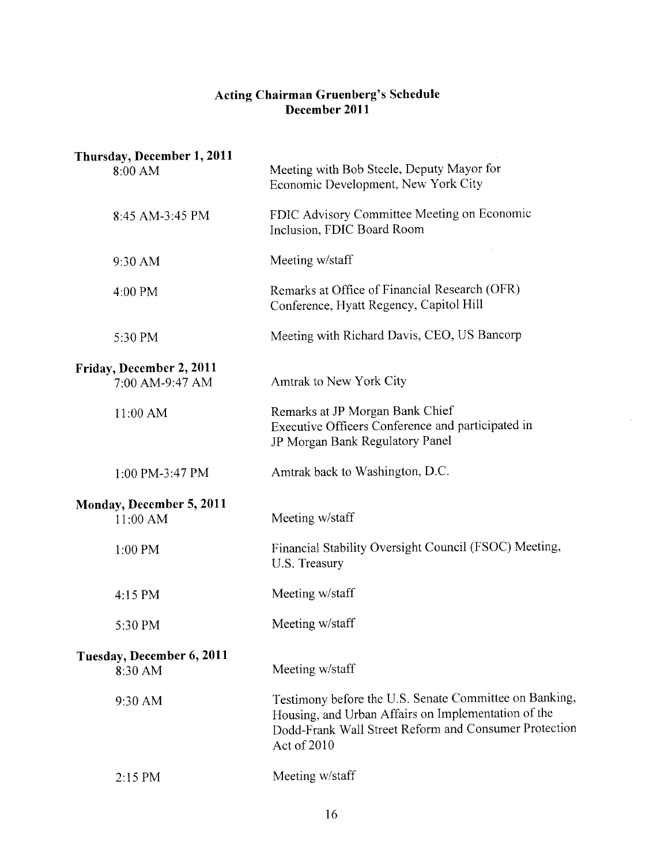## **Acting Chairman Gruenberg's Schedule December 2011**

| Thursday, December 1, 2011<br>8:00 AM       | Meeting with Bob Steele, Deputy Mayor for<br>Economic Development, New York City                                                                                                   |
|---------------------------------------------|------------------------------------------------------------------------------------------------------------------------------------------------------------------------------------|
| 8:45 AM-3:45 PM                             | FDIC Advisory Committee Meeting on Economic<br>Inclusion, FDIC Board Room                                                                                                          |
| 9:30 AM                                     | Meeting w/staff                                                                                                                                                                    |
| 4:00 PM                                     | Remarks at Office of Financial Research (OFR)<br>Conference, Hyatt Regency, Capitol Hill                                                                                           |
| 5:30 PM                                     | Meeting with Richard Davis, CEO, US Bancorp                                                                                                                                        |
| Friday, December 2, 2011<br>7:00 AM-9:47 AM | Amtrak to New York City                                                                                                                                                            |
| 11:00 AM                                    | Remarks at JP Morgan Bank Chief<br>Executive Officers Conference and participated in<br>JP Morgan Bank Regulatory Panel                                                            |
| 1:00 PM-3:47 PM                             | Amtrak back to Washington, D.C.                                                                                                                                                    |
| Monday, December 5, 2011<br>11:00 AM        | Meeting w/staff                                                                                                                                                                    |
| 1:00 PM                                     | Financial Stability Oversight Council (FSOC) Meeting,<br>U.S. Treasury                                                                                                             |
| 4:15 PM                                     | Meeting w/staff                                                                                                                                                                    |
| 5:30 PM                                     | Meeting w/staff                                                                                                                                                                    |
| Tuesday, December 6, 2011<br>8:30 AM        | Meeting w/staff                                                                                                                                                                    |
| 9:30 AM                                     | Testimony before the U.S. Senate Committee on Bankin<br>Housing, and Urban Affairs on Implementation of the<br>Dodd-Frank Wall Street Reform and Consumer Protectio<br>Act of 2010 |
| 2:15 PM                                     | Meeting w/staff                                                                                                                                                                    |
|                                             |                                                                                                                                                                                    |

 $\mathbf{r}$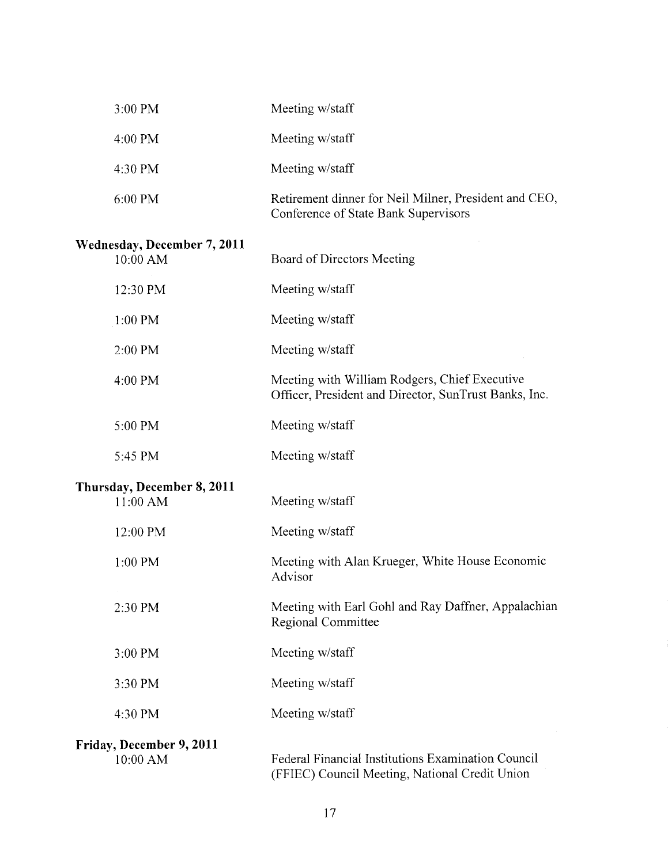| 3:00 PM                                        | Meeting w/staff                                                                                        |
|------------------------------------------------|--------------------------------------------------------------------------------------------------------|
| 4:00 PM                                        | Meeting w/staff                                                                                        |
| 4:30 PM                                        | Meeting w/staff                                                                                        |
| 6:00 PM                                        | Retirement dinner for Neil Milner, President and CEO,<br>Conference of State Bank Supervisors          |
| <b>Wednesday, December 7, 2011</b><br>10:00 AM | Board of Directors Meeting                                                                             |
| 12:30 PM                                       | Meeting w/staff                                                                                        |
| $1:00$ PM                                      | Meeting w/staff                                                                                        |
| 2:00 PM                                        | Meeting w/staff                                                                                        |
| 4:00 PM                                        | Meeting with William Rodgers, Chief Executive<br>Officer, President and Director, SunTrust Banks, Inc. |
| 5:00 PM                                        | Meeting w/staff                                                                                        |
| 5:45 PM                                        | Meeting w/staff                                                                                        |
| Thursday, December 8, 2011<br>11:00 AM         | Meeting w/staff                                                                                        |
| 12:00 PM                                       | Meeting w/staff                                                                                        |
| 1:00 PM                                        | Meeting with Alan Krueger, White House Economic<br>Advisor                                             |
| 2:30 PM                                        | Meeting with Earl Gohl and Ray Daffner, Appalachian<br>Regional Committee                              |
| 3:00 PM                                        | Meeting w/staff                                                                                        |
| 3:30 PM                                        | Meeting w/staff                                                                                        |
| 4:30 PM                                        | Meeting w/staff                                                                                        |
| Friday, December 9, 2011<br>10:00 AM           | Federal Financial Institutions Examination Council<br>(FFIEC) Council Meeting, National Credit Union   |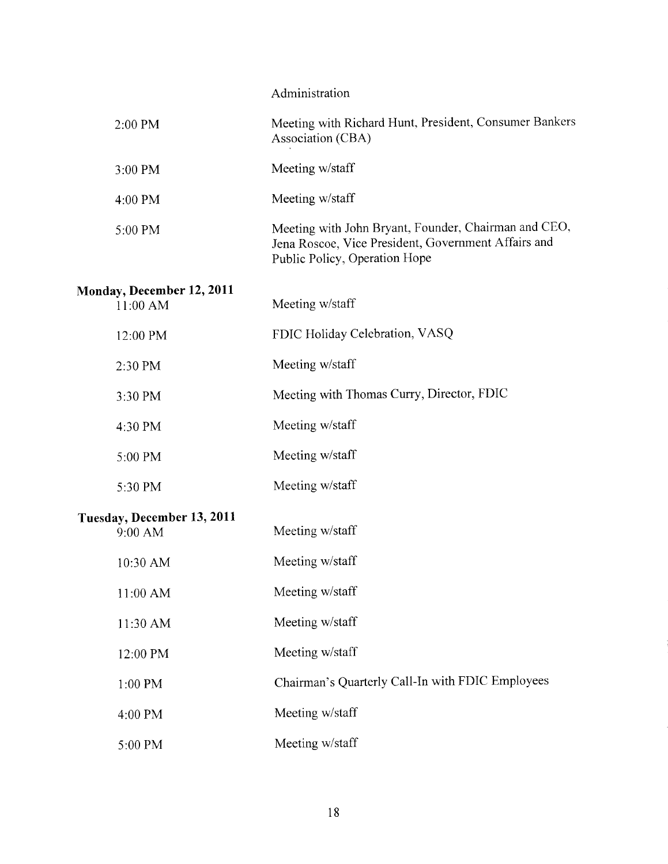|  | Administration |
|--|----------------|
|  |                |

| 2:00 PM                                 | Meeting with Richard Hunt, President, Consumer Bankers<br>Association (CBA)                                                                  |
|-----------------------------------------|----------------------------------------------------------------------------------------------------------------------------------------------|
| 3:00 PM                                 | Meeting w/staff                                                                                                                              |
| 4:00 PM                                 | Meeting w/staff                                                                                                                              |
| 5:00 PM                                 | Meeting with John Bryant, Founder, Chairman and CEO,<br>Jena Roscoe, Vice President, Government Affairs and<br>Public Policy, Operation Hope |
| Monday, December 12, 2011<br>11:00 AM   | Meeting w/staff                                                                                                                              |
| 12:00 PM                                | FDIC Holiday Celebration, VASQ                                                                                                               |
| 2:30 PM                                 | Meeting w/staff                                                                                                                              |
| 3:30 PM                                 | Meeting with Thomas Curry, Director, FDIC                                                                                                    |
| 4:30 PM                                 | Meeting w/staff                                                                                                                              |
| 5:00 PM                                 | Meeting w/staff                                                                                                                              |
| 5:30 PM                                 | Meeting w/staff                                                                                                                              |
| Tuesday, December 13, 2011<br>$9:00$ AM | Meeting w/staff                                                                                                                              |
| 10:30 AM                                | Meeting w/staff                                                                                                                              |
| 11:00 AM                                | Meeting w/staff                                                                                                                              |
| 11:30 AM                                | Meeting w/staff                                                                                                                              |
| 12:00 PM                                | Meeting w/staff                                                                                                                              |
| 1:00 PM                                 | Chairman's Quarterly Call-In with FDIC Employees                                                                                             |
| 4:00 PM                                 | Meeting w/staff                                                                                                                              |
| 5:00 PM                                 | Meeting w/staff                                                                                                                              |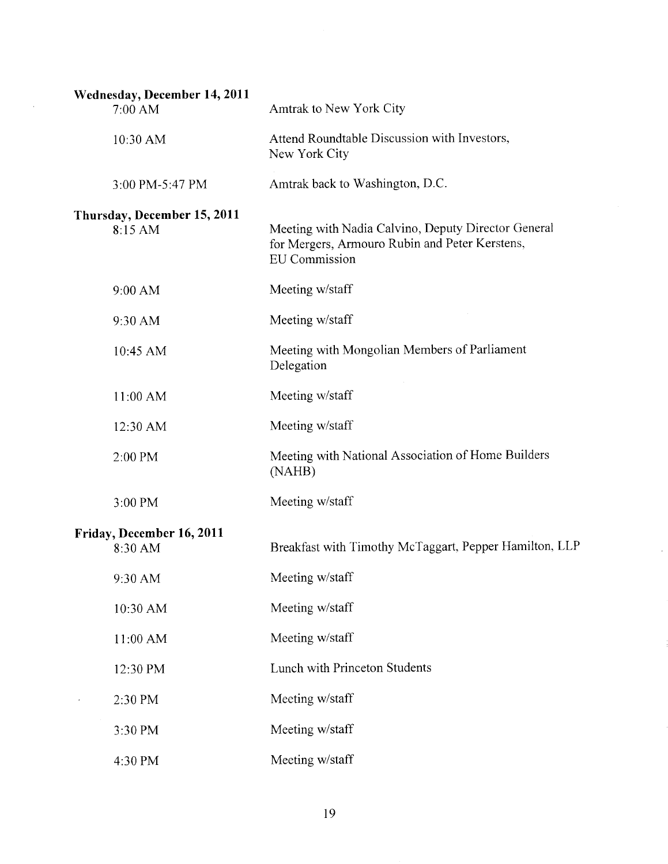| Wednesday, December 14, 2011<br>7:00 AM | Amtrak to New York City                                                                                                       |
|-----------------------------------------|-------------------------------------------------------------------------------------------------------------------------------|
| 10:30 AM                                | Attend Roundtable Discussion with Investors,<br>New York City                                                                 |
| 3:00 PM-5:47 PM                         | Amtrak back to Washington, D.C.                                                                                               |
| Thursday, December 15, 2011<br>8:15 AM  | Meeting with Nadia Calvino, Deputy Director General<br>for Mergers, Armouro Rubin and Peter Kerstens,<br><b>EU</b> Commission |
| 9:00 AM                                 | Meeting w/staff                                                                                                               |
| 9:30 AM                                 | Meeting w/staff                                                                                                               |
| 10:45 AM                                | Meeting with Mongolian Members of Parliament<br>Delegation                                                                    |
| 11:00 AM                                | Meeting w/staff                                                                                                               |
| 12:30 AM                                | Meeting w/staff                                                                                                               |
| 2:00 PM                                 | Meeting with National Association of Home Builders<br>(NAHB)                                                                  |
| 3:00 PM                                 | Meeting w/staff                                                                                                               |
| Friday, December 16, 2011<br>8:30 AM    | Breakfast with Timothy McTaggart, Pepper Hamilton, LLP                                                                        |
| 9:30 AM                                 | Meeting w/staff                                                                                                               |
| 10:30 AM                                | Meeting w/staff                                                                                                               |
| 11:00 AM                                | Meeting w/staff                                                                                                               |
| 12:30 PM                                | Lunch with Princeton Students                                                                                                 |
| 2:30 PM                                 | Meeting w/staff                                                                                                               |
| 3:30 PM                                 | Meeting w/staff                                                                                                               |
| 4:30 PM                                 | Meeting w/staff                                                                                                               |

 $\hat{\mathcal{A}}$ 

 $\hat{\boldsymbol{\epsilon}}$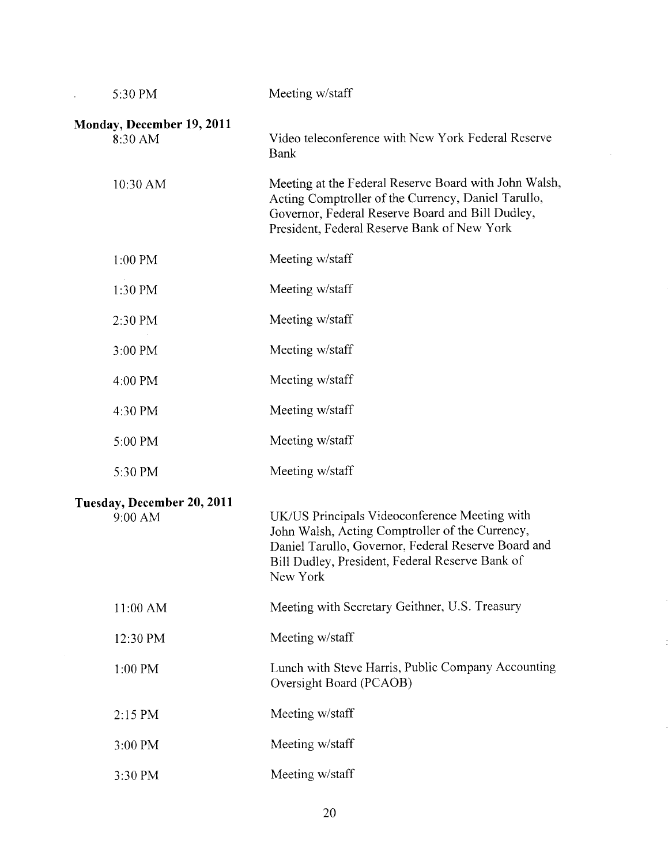| 5:30 PM                               | Meeting w/staff                                                                                                                                                                                                        |
|---------------------------------------|------------------------------------------------------------------------------------------------------------------------------------------------------------------------------------------------------------------------|
| Monday, December 19, 2011<br>8:30 AM  | Video teleconference with New York Federal Reserve<br><b>Bank</b>                                                                                                                                                      |
| 10:30 AM                              | Meeting at the Federal Reserve Board with John Walsh,<br>Acting Comptroller of the Currency, Daniel Tarullo,<br>Governor, Federal Reserve Board and Bill Dudley,<br>President, Federal Reserve Bank of New York        |
| $1:00$ PM                             | Meeting w/staff                                                                                                                                                                                                        |
| 1:30 PM                               | Meeting w/staff                                                                                                                                                                                                        |
| 2:30 PM                               | Meeting w/staff                                                                                                                                                                                                        |
| 3:00 PM                               | Meeting w/staff                                                                                                                                                                                                        |
| 4:00 PM                               | Meeting w/staff                                                                                                                                                                                                        |
| 4:30 PM                               | Meeting w/staff                                                                                                                                                                                                        |
| 5:00 PM                               | Meeting w/staff                                                                                                                                                                                                        |
| 5:30 PM                               | Meeting w/staff                                                                                                                                                                                                        |
| Tuesday, December 20, 2011<br>9:00 AM | UK/US Principals Videoconference Meeting with<br>John Walsh, Acting Comptroller of the Currency,<br>Daniel Tarullo, Governor, Federal Reserve Board and<br>Bill Dudley, President, Federal Reserve Bank of<br>New York |
| 11:00 AM                              | Meeting with Secretary Geithner, U.S. Treasury                                                                                                                                                                         |
| 12:30 PM                              | Meeting w/staff                                                                                                                                                                                                        |
| 1:00 PM                               | Lunch with Steve Harris, Public Company Accounting<br>Oversight Board (PCAOB)                                                                                                                                          |
| 2:15 PM                               | Meeting w/staff                                                                                                                                                                                                        |
| 3:00 PM                               | Meeting w/staff                                                                                                                                                                                                        |
| 3:30 PM                               | Meeting w/staff                                                                                                                                                                                                        |

 $\sim 10^{-1}$ 

 $\ddot{\phantom{0}}$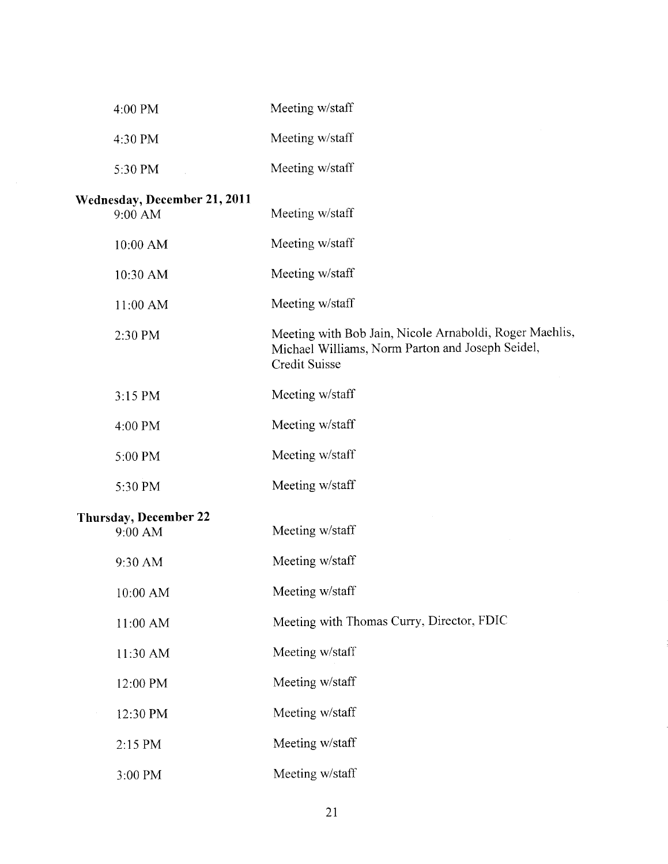| 4:00 PM                                 | Meeting w/staff                                                                                                              |
|-----------------------------------------|------------------------------------------------------------------------------------------------------------------------------|
| 4:30 PM                                 | Meeting w/staff                                                                                                              |
| 5:30 PM                                 | Meeting w/staff                                                                                                              |
| Wednesday, December 21, 2011<br>9:00 AM | Meeting w/staff                                                                                                              |
| 10:00 AM                                | Meeting w/staff                                                                                                              |
| 10:30 AM                                | Meeting w/staff                                                                                                              |
| 11:00 AM                                | Meeting w/staff                                                                                                              |
| 2:30 PM                                 | Meeting with Bob Jain, Nicole Arnaboldi, Roger Maehlis,<br>Michael Williams, Norm Parton and Joseph Seidel,<br>Credit Suisse |
| 3:15 PM                                 | Meeting w/staff                                                                                                              |
| 4:00 PM                                 | Meeting w/staff                                                                                                              |
| 5:00 PM                                 | Meeting w/staff                                                                                                              |
| 5:30 PM                                 | Meeting w/staff                                                                                                              |
| Thursday, December 22<br>9:00 AM        | Meeting w/staff                                                                                                              |
| 9:30 AM                                 | Meeting w/staff                                                                                                              |
| 10:00 AM                                | Meeting w/staff                                                                                                              |
| 11:00 AM                                | Meeting with Thomas Curry, Director, FDIC                                                                                    |
| 11:30 AM                                | Meeting w/staff                                                                                                              |
| 12:00 PM                                | Meeting w/staff                                                                                                              |
| 12:30 PM                                | Meeting w/staff                                                                                                              |
| 2:15 PM                                 | Meeting w/staff                                                                                                              |
| 3:00 PM                                 | Meeting w/staff                                                                                                              |